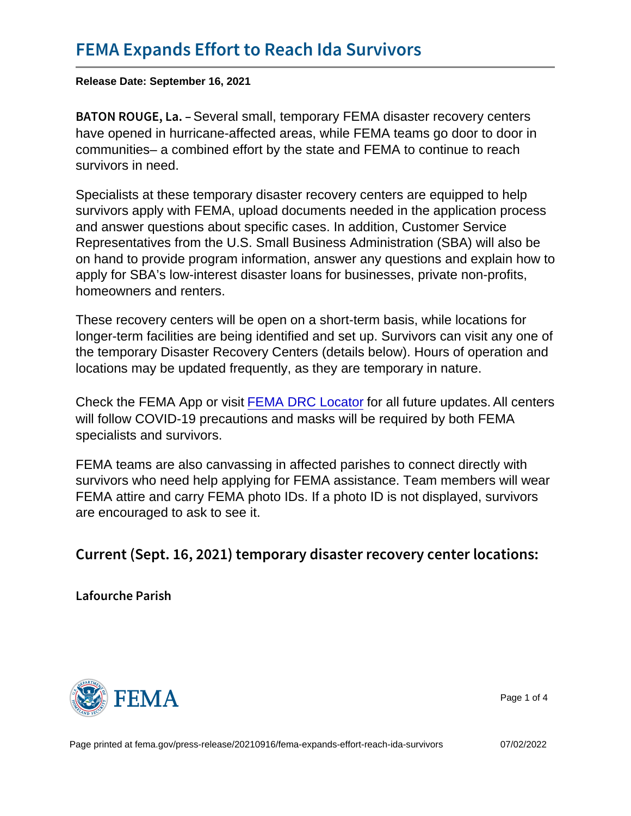## [FEMA Expands Effort to Re](https://www.fema.gov/press-release/20210916/fema-expands-effort-reach-ida-survivors)ach Ida Survivo

Release Date: September 16, 2021

B A T O N R O U Greveral small, temporary FEMA disaster recovery centers have opened in hurricane-affected areas, while FEMA teams go door to door in communities– a combined effort by the state and FEMA to continue to reach survivors in need.

Specialists at these temporary disaster recovery centers are equipped to help survivors apply with FEMA, upload documents needed in the application process and answer questions about specific cases. In addition, Customer Service Representatives from the U.S. Small Business Administration (SBA) will also be on hand to provide program information, answer any questions and explain how to apply for SBA's low-interest disaster loans for businesses, private non-profits, homeowners and renters.

These recovery centers will be open on a short-term basis, while locations for longer-term facilities are being identified and set up. Survivors can visit any one of the temporary Disaster Recovery Centers (details below). Hours of operation and locations may be updated frequently, as they are temporary in nature.

Check the FEMA App or visit [FEMA DRC Locator](https://egateway.fema.gov/ESF6/DRCLocator) for all future updates.All centers will follow COVID-19 precautions and masks will be required by both FEMA specialists and survivors.

FEMA teams are also canvassing in affected parishes to connect directly with survivors who need help applying for FEMA assistance. Team members will wear FEMA attire and carry FEMA photo IDs. If a photo ID is not displayed, survivors are encouraged to ask to see it.

Current (Sept. 16, 2021) temporary disaster recov

Lafourche Parish



Page 1 of 4

Page printed at [fema.gov/press-release/20210916/fema-expands-effort-reach-ida-survivors](https://www.fema.gov/press-release/20210916/fema-expands-effort-reach-ida-survivors) 07/02/2022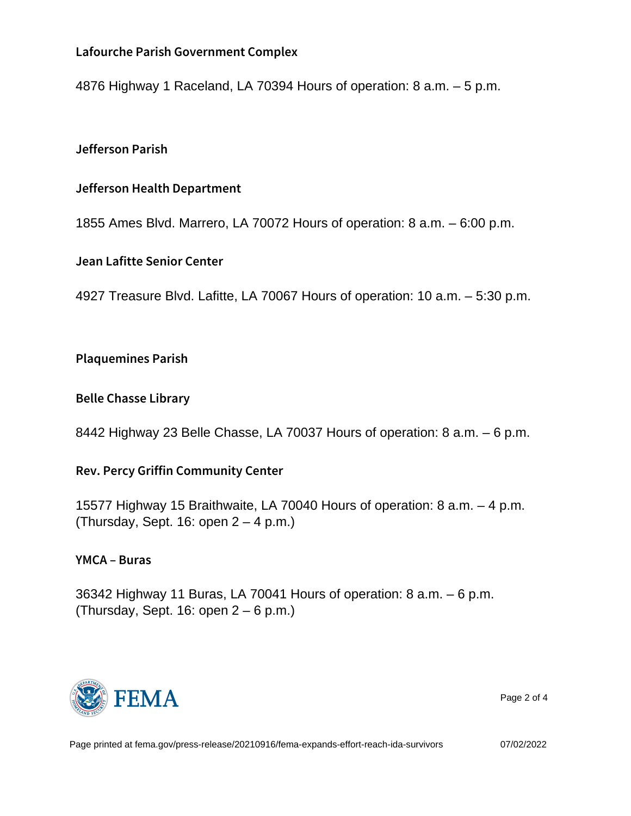Lafourche Parish Government Complex

4876 Highway 1 Raceland, LA 70394 Hours of operation: 8 a.m. – 5 p.m.

Jefferson Parish

Jefferson Health Department

1855 Ames Blvd. Marrero, LA 70072 Hours of operation: 8 a.m. – 6:00 p.m.

Jean Lafitte Senior Center

4927 Treasure Blvd. Lafitte, LA 70067 Hours of operation: 10 a.m. – 5:30 p.m.

Plaquemines Parish

Belle Chasse Library

8442 Highway 23 Belle Chasse, LA 70037 Hours of operation: 8 a.m. – 6 p.m.

Rev. Percy Griffin Community Center

15577 Highway 15 Braithwaite, LA 70040 Hours of operation: 8 a.m. – 4 p.m. (Thursday, Sept. 16: open  $2 - 4$  p.m.)

YMCA Buras

36342 Highway 11 Buras, LA 70041 Hours of operation: 8 a.m. – 6 p.m. (Thursday, Sept. 16: open 2 – 6 p.m.)



Page 2 of 4

Page printed at [fema.gov/press-release/20210916/fema-expands-effort-reach-ida-survivors](https://www.fema.gov/press-release/20210916/fema-expands-effort-reach-ida-survivors) 07/02/2022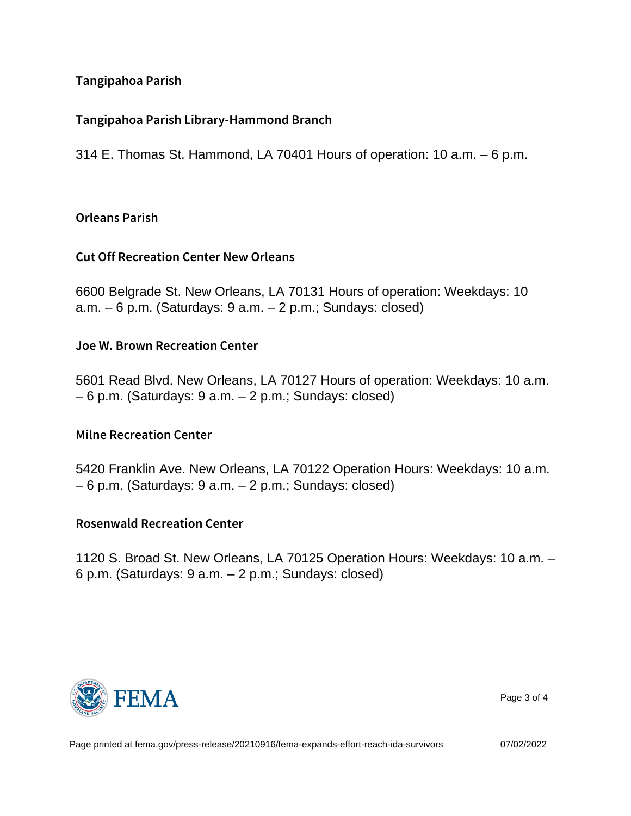Tangipahoa Parish

Tangipahoa Parish Library-Hammond Branch

314 E. Thomas St. Hammond, LA 70401 Hours of operation: 10 a.m. – 6 p.m.

Orleans Parish

Cut Off Recreation Center New Orleans

6600 Belgrade St. New Orleans, LA 70131 Hours of operation: Weekdays: 10  $a.m. - 6 p.m.$  (Saturdays:  $9 a.m. - 2 p.m.$ ; Sundays: closed)

Joe W. Brown Recreation Center

5601 Read Blvd. New Orleans, LA 70127 Hours of operation: Weekdays: 10 a.m. – 6 p.m. (Saturdays: 9 a.m. – 2 p.m.; Sundays: closed)

Milne Recreation Center

5420 Franklin Ave. New Orleans, LA 70122 Operation Hours: Weekdays: 10 a.m. – 6 p.m. (Saturdays: 9 a.m. – 2 p.m.; Sundays: closed)

Rosenwald Recreation Center

1120 S. Broad St. New Orleans, LA 70125 Operation Hours: Weekdays: 10 a.m. – 6 p.m. (Saturdays: 9 a.m. – 2 p.m.; Sundays: closed)



Page 3 of 4

Page printed at [fema.gov/press-release/20210916/fema-expands-effort-reach-ida-survivors](https://www.fema.gov/press-release/20210916/fema-expands-effort-reach-ida-survivors) 07/02/2022